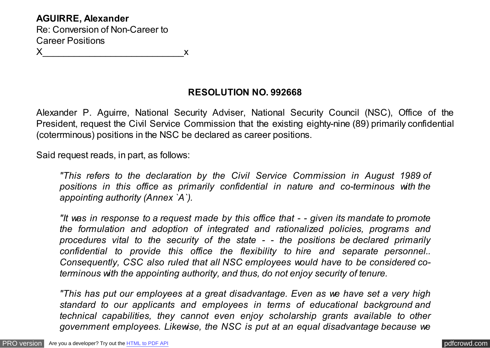## **RESOLUTION NO. 992668**

Alexander P. Aguirre, National Security Adviser, National Security Council (NSC), Office of the President, request the Civil Service Commission that the existing eighty-nine (89) primarily confidential (coterrminous) positions in the NSC be declared as career positions.

Said request reads, in part, as follows:

*"This refers to the declaration by the Civil Service Commission in August 1989 of positions in this office as primarily confidential in nature and co-terminous with the appointing authority (Annex `A`).*

*"It was in response to a request made by this office that - - given its mandate to promote the formulation and adoption of integrated and rationalized policies, programs and procedures vital to the security of the state - - the positions be declared primarily confidential to provide this office the flexibility to hire and separate personnel.. Consequently, CSC also ruled that all NSC employees would have to be considered coterminous with the appointing authority, and thus, do not enjoy security of tenure.*

*"This has put our employees at a great disadvantage. Even as we have set a very high standard to our applicants and employees in terms of educational background and technical capabilities, they cannot even enjoy scholarship grants available to other government employees. Likewise, the NSC is put at an equal disadvantage because we*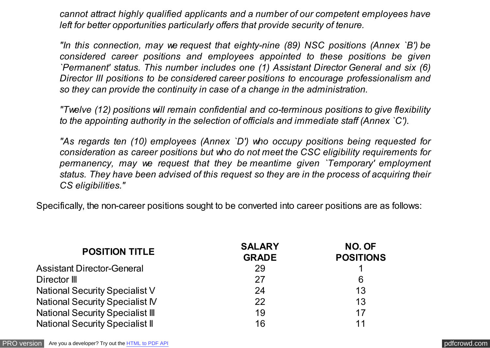*cannot attract highly qualified applicants and a number of our competent employees have left for better opportunities particularly offers that provide security of tenure.*

*"In this connection, may we request that eighty-nine (89) NSC positions (Annex `B') be considered career positions and employees appointed to these positions be given `Permanent' status. This number includes one (1) Assistant Director General and six (6) Director III positions to be considered career positions to encourage professionalism and so they can provide the continuity in case of a change in the administration.*

*"Twelve (12) positions will remain confidential and co-terminous positions to give flexibility to the appointing authority in the selection of officials and immediate staff (Annex `C').*

*"As regards ten (10) employees (Annex `D') who occupy positions being requested for consideration as career positions but who do not meet the CSC eligibility requirements for permanency, may we request that they be meantime given `Temporary' employment status. They have been advised of this request so they are in the process of acquiring their CS eligibilities."*

Specifically, the non-career positions sought to be converted into career positions are as follows:

| <b>POSITION TITLE</b>                   | <b>SALARY</b><br><b>GRADE</b> | NO. OF<br><b>POSITIONS</b> |
|-----------------------------------------|-------------------------------|----------------------------|
| <b>Assistant Director-General</b>       | -29                           |                            |
| Director III                            | 27                            | 6                          |
| <b>National Security Specialist V</b>   | 24                            | 13                         |
| <b>National Security Specialist IV</b>  | 22                            | 13                         |
| <b>National Security Specialist III</b> | 19                            | 17                         |
| <b>National Security Specialist II</b>  | 16                            | 11                         |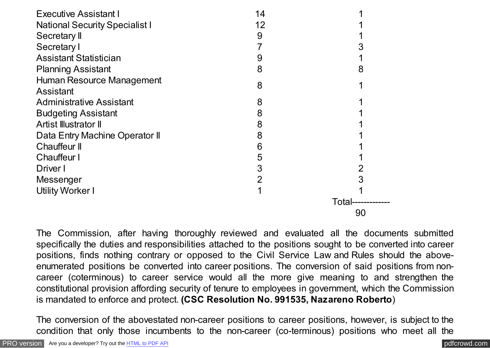| <b>Executive Assistant I</b>          | 14             |       |
|---------------------------------------|----------------|-------|
| <b>National Security Specialist I</b> | 12             |       |
| Secretary II                          | 9              |       |
| Secretary I                           |                |       |
| <b>Assistant Statistician</b>         | 9              |       |
| <b>Planning Assistant</b>             | 8              | 8     |
| Human Resource Management             | 8              |       |
| Assistant                             |                |       |
| <b>Administrative Assistant</b>       | 8              |       |
| <b>Budgeting Assistant</b>            | 8              |       |
| Artist Illustrator II                 | 8              |       |
| Data Entry Machine Operator II        | 8              |       |
| <b>Chauffeur II</b>                   | 6              |       |
| <b>Chauffeur I</b>                    | 5              |       |
| Driver I                              | 3              | 2     |
| Messenger                             | $\overline{2}$ | 3     |
| <b>Utility Worker I</b>               |                |       |
|                                       |                | Total |
|                                       |                | 90    |

The Commission, after having thoroughly reviewed and evaluated all the documents submitted specifically the duties and responsibilities attached to the positions sought to be converted into career positions, finds nothing contrary or opposed to the Civil Service Law and Rules should the aboveenumerated positions be converted into career positions. The conversion of said positions from noncareer (coterminous) to career service would all the more give meaning to and strengthen the constitutional provision affording security of tenure to employees in government, which the Commission is mandated to enforce and protect. **(CSC Resolution No. 991535, Nazareno Roberto**)

The conversion of the abovestated non-career positions to career positions, however, is subject to the condition that only those incumbents to the non-career (co-terminous) positions who meet all the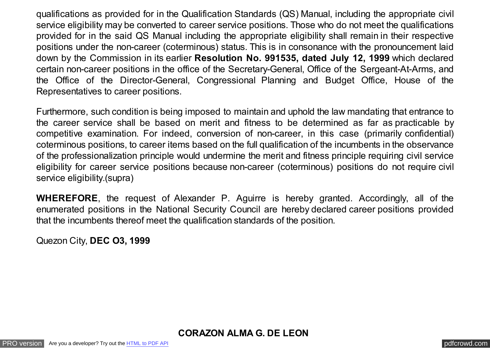qualifications as provided for in the Qualification Standards (QS) Manual, including the appropriate civil service eligibility may be converted to career service positions. Those who do not meet the qualifications provided for in the said QS Manual including the appropriate eligibility shall remain in their respective positions under the non-career (coterminous) status. This is in consonance with the pronouncement laid down by the Commission in its earlier **Resolution No. 991535, dated July 12, 1999** which declared certain non-career positions in the office of the Secretary-General, Office of the Sergeant-At-Arms, and the Office of the Director-General, Congressional Planning and Budget Office, House of the Representatives to career positions.

Furthermore, such condition is being imposed to maintain and uphold the law mandating that entrance to the career service shall be based on merit and fitness to be determined as far as practicable by competitive examination. For indeed, conversion of non-career, in this case (primarily confidential) coterminous positions, to career items based on the full qualification of the incumbents in the observance of the professionalization principle would undermine the merit and fitness principle requiring civil service eligibility for career service positions because non-career (coterminous) positions do not require civil service eligibility.(supra)

**WHEREFORE**, the request of Alexander P. Aguirre is hereby granted. Accordingly, all of the enumerated positions in the National Security Council are hereby declared career positions provided that the incumbents thereof meet the qualification standards of the position.

Quezon City, **DEC O3, 1999**

**CORAZON ALMA G. DE LEON**